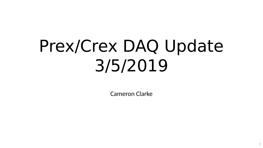# Prex/Crex DAQ Update 3/5/2019

Cameron Clarke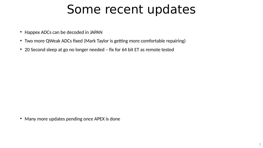#### Some recent updates

- Happex ADCs can be decoded in JAPAN
- Two more QWeak ADCs fixed (Mark Taylor is getting more comfortable repairing)
- 20 Second sleep at go no longer needed fix for 64 bit ET as remote tested

• Many more updates pending once APEX is done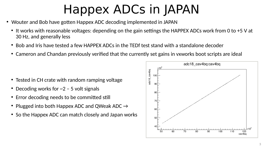# Happex ADCs in JAPAN

- Wouter and Bob have gotten Happex ADC decoding implemented in JAPAN
	- It works with reasonable voltages: depending on the gain settings the HAPPEX ADCs work from 0 to +5 V at 30 Hz, and generally less
	- Bob and Iris have tested a few HAPPEX ADCs in the TEDf test stand with a standalone decoder
	- Cameron and Chandan previously verified that the currently set gains in vxworks boot scripts are ideal

- Tested in CH crate with random ramping voltage
- Decoding works for  $\sim$ 2 5 volt signals
- Error decoding needs to be committed still
- Plugged into both Happex ADC and QWeak ADC  $\rightarrow$
- So the Happex ADC can match closely and Japan works

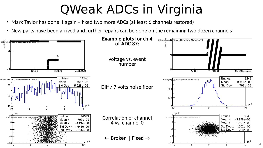# QWeak ADCs in Virginia

- Mark Taylor has done it again fixed two more ADCs (at least 6 channels restored)
- New parts have been arrived and further repairs can be done on the remaining two dozen channels



4